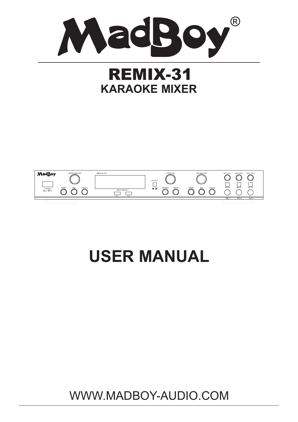

# **REMIX-31 KARAOKE MIXER**



# **USER MANUAL**

WWW.MADBOY-AUDIO.COM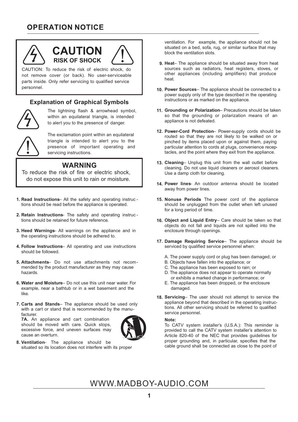### **OPERATION NOTICE**



# **CAUTION RISK OF SHOCK**



#### **Explanation of Graphical Symbols**



The lightning flash & arrowhead symbol, within an equilateral triangle, is intended to alert you to the presence of danger.

The exclamation point within an equilateral triangle is intended to alert you to the presence of important operating and servicing instructions.

#### **WARNING**

To reduce the risk of fire or electric shock, do not expose this unit to rain or moisture.

- **Read Instructions** All the safety and operating instruc **1.**  tions should be read before the appliance is operated.
- **Retain Instructions** The safety and operating instruc **2.** tions should be retained for future reference.
- **Heed Warnings** All warnings on the appliance and in **3.** the operating instructions should be adhered to.
- **Follow Instructions** All operating and use instructions **4.** should be followed.
- **Attachments** Do not use attachments not recom-**5.** mended by the product manufacturer as they may cause hazards.
- **Water and Moisture** Do not use this unit near water. For **6.** example, near a bathtub or in a wet basement and the like.
- **Carts and Stands** The appliance should be used only **7.** with a cart or stand that is recommended by the manufacturer.

**7A.** An appliance and cart combination should be moved with care. Quick stops, excessive force, and uneven surfaces may cause an overturn.



**Ventilation**– The appliance should be **8.** situated so its location does not interfere with its proper ventilation. For example, the appliance should not be situated on a bed, sofa, rug, or similar surface that may block the ventilation slots.

- **Heat** The appliance should be situated away from heat **9.** sources such as radiators, heat registers, stoves, or other appliances (including amplifiers) that produce heat.
- **Power Sources** The appliance should be connected to a **10.** power supply only of the type described in the operating instructions or as marked on the appliance.
- **Grounding or Polarization** Precautions should be taken **11.** so that the grounding or polarization means of an appliance is not defeated.
- **Power-Cord Protection** Power-supply cords should be **12.** routed so that they are not likely to be walked on or pinched by items placed upon or against them, paying particular attention to cords at plugs, convenience receptacles, and the point where they exit from the appliance.
- **Cleaning** Unplug this unit from the wall outlet before **13.** cleaning. Do not use liquid cleaners or aerosol cleaners. Use a damp cloth for cleaning.
- **Power lines** An outdoor antenna should be located **14.** away from power lines.
- **15. Nonuse Periods** The power cord of the appliance should be unplugged from the outlet when left unused for a long period of time.
- **Object and Liquid Entry** Care should be taken so that **16.** objects do not fall and liquids are not spilled into the enclosure through openings.
- **Damage Requiring Service** The appliance should be **17.** serviced by qualified service personnel when:
	- A. The power supply cord or plug has been damaged; or
	- B. Objects have fallen into the appliance; or
	- C. The appliance has been exposed to rain; or
	- D. The appliance does not appear to operate normally or exhibits a marked change in performance; or
	- E. The appliance has been dropped, or the enclosure damaged.
- **Servicing** The user should not attempt to service the **18.** appliance beyond that described in the operating instructions. All other servicing should be referred to qualified service personnel.

#### **Note:**

To CATV system installer's (U.S.A.): This reminder is provided to call the CATV system installer's attention to Article 820-40 of the NEC that provides guidelines for proper grounding and, in particular, specifies that the cable ground shall be connected as close to the point of

## WWW.MADBOY-AUDIO.COM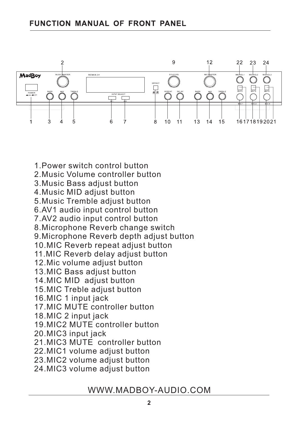1.Power switch control button



2.Music Volume controller button 3.Music Bass adjust button 4.Music MID adjust button 5.Music Tremble adjust button 6.AV1 audio input control button 7.AV2 audio input control button 8.Microphone Reverb change switch 9.Microphone Reverb depth adjust button 10.MIC Reverb repeat adjust button 11.MIC Reverb delay adjust button 12.Mic volume adjust button 13.MIC Bass adjust button 14.MIC MID adjust button 15.MIC Treble adjust button 16.MIC 1 input jack 17.MIC MUTE controller button 18.MIC 2 input jack 19.MIC2 MUTE controller button 20.MIC3 input jack 21.MIC3 MUTE controller button 22.MIC1 volume adjust button 23.MIC2 volume adjust button 24.MIC3 volume adjust button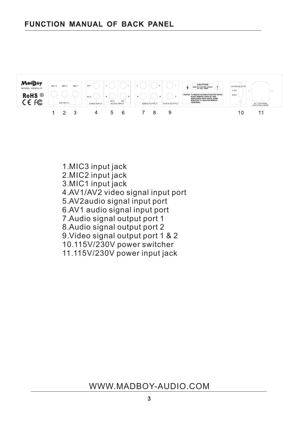

1.MIC3 input jack 2.MIC2 input jack 3.MIC1 input jack 4.AV1/AV2 video signal input port 5.AV2audio signal input port 6.AV1 audio signal input port 7.Audio signal output port 1 8.Audio signal output port 2 9.Video signal output port 1 & 2 10.115V/230V power switcher 11.115V/230V power input jack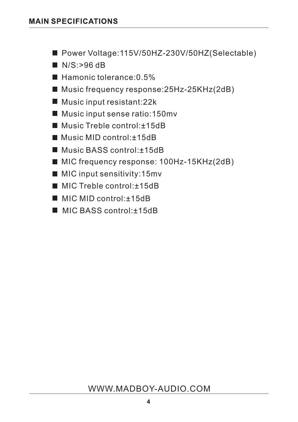- Power Voltage:115V/50HZ-230V/50HZ(Selectable)
- $N/S$ :>96 dB
- $\blacksquare$  Hamonic tolerance: 0.5%
- Music frequency response: 25Hz-25KHz(2dB)
- Music input resistant: 22k
- Music input sense ratio:150mv
- Music Treble control: +15dB
- Music MID control: +15dB
- Music BASS control:±15dB
- MIC frequency response: 100Hz-15KHz(2dB)
- MIC input sensitivity: 15mv
- MIC Treble control:±15dB
- MIC MID control:±15dB
- MIC BASS control:±15dB